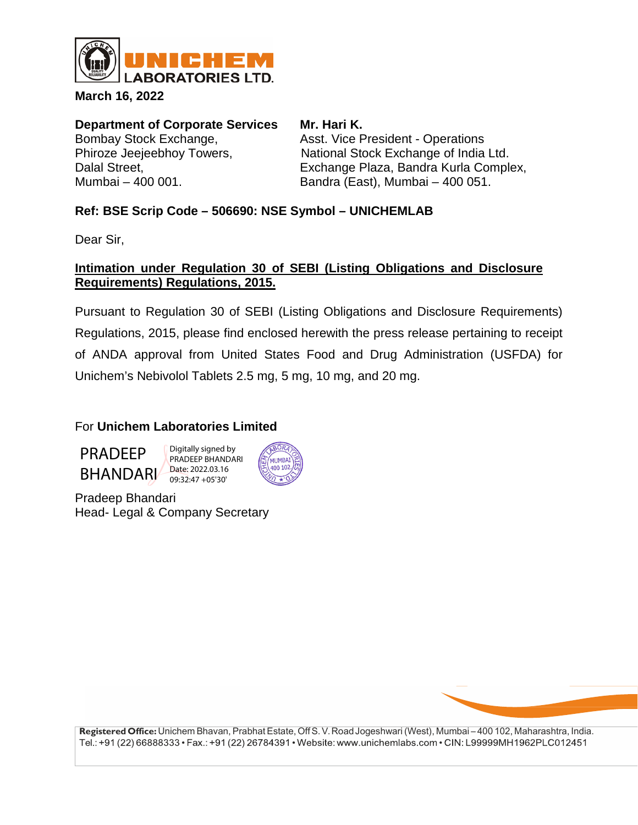

**March 16, 2022**

**Department of Corporate Services Mr. Hari K.**<br>Bombay Stock Exchange. **Asst. Vice Premiers** 

Asst. Vice President - Operations Phiroze Jeejeebhoy Towers, National Stock Exchange of India Ltd. Dalal Street, Exchange Plaza, Bandra Kurla Complex, Mumbai – 400 001. Bandra (East), Mumbai – 400 051.

## **Ref: BSE Scrip Code – 506690: NSE Symbol – UNICHEMLAB**

Dear Sir,

## **Intimation under Regulation 30 of SEBI (Listing Obligations and Disclosure Requirements) Regulations, 2015.**

Pursuant to Regulation 30 of SEBI (Listing Obligations and Disclosure Requirements) Regulations, 2015, please find enclosed herewith the press release pertaining to receipt of ANDA approval from United States Food and Drug Administration (USFDA) for Unichem's Nebivolol Tablets 2.5 mg, 5 mg, 10 mg, and 20 mg.

## For **Unichem Laboratories Limited**

PRADEEP BHANDARI Digitally signed by PRADEEP BHANDARI Date: 2022.03.16 09:32:47 +05'30'



Pradeep Bhandari Head- Legal & Company Secretary



**Registered Office:** Unichem Bhavan, Prabhat Estate, Off S. V.RoadJogeshwari (West), Mumbai – 400 102, Maharashtra, India. Tel.: +91 (22) 66888333 • Fax.: +91 (22) 26784391 • Website: www.unichemlabs.com • CIN: L99999MH1962PLC012451